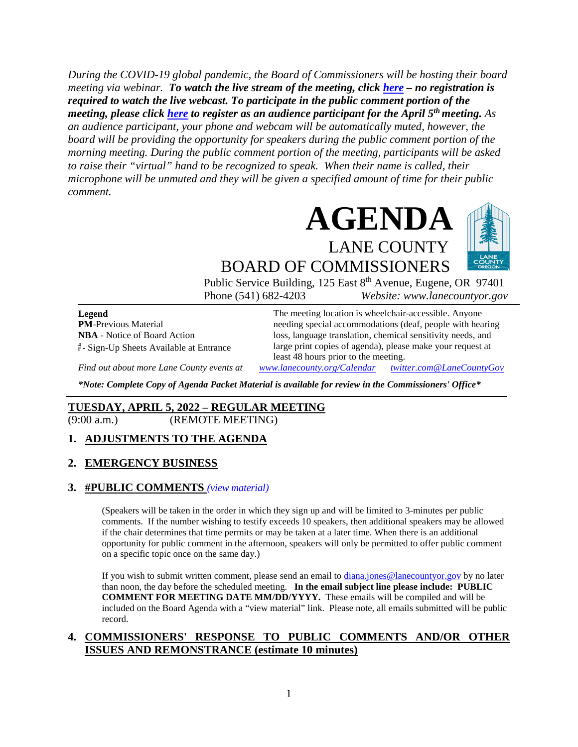*During the COVID-19 global pandemic, the Board of Commissioners will be hosting their board meeting via webinar. To watch the live stream of the meeting, click [here](https://lanecounty.org/cms/One.aspx?portalId=3585881&pageId=7842434) – no registration is required to watch the live webcast. To participate in the public comment portion of the meeting, please click [here](https://us06web.zoom.us/webinar/register/WN_17QffP6uTp-ItQxOh2an9Q) to register as an audience participant for the April 5th meeting. As an audience participant, your phone and webcam will be automatically muted, however, the board will be providing the opportunity for speakers during the public comment portion of the morning meeting. During the public comment portion of the meeting, participants will be asked to raise their "virtual" hand to be recognized to speak. When their name is called, their microphone will be unmuted and they will be given a specified amount of time for their public comment.* 



BOARD OF COMMISSIONERS Public Service Building, 125 East 8<sup>th</sup> Avenue, Eugene, OR 97401

Phone (541) 682-4203 *Website: www.lanecountyor.gov*

**Legend PM**-Previous Material **NBA** - Notice of Board Action **#** - Sign-Up Sheets Available at Entrance

The meeting location is wheelchair-accessible. Anyone needing special accommodations (deaf, people with hearing loss, language translation, chemical sensitivity needs, and large print copies of agenda), please make your request at least 48 hours prior to the meeting.

*Find out about more Lane County events at [www.lanecounty.org/Calendar](http://www.lanecounty.org/Calendar) [twitter.com@LaneCountyGov](https://twitter.com/lanecountygov?lang=en)*

*\*Note: Complete Copy of Agenda Packet Material is available for review in the Commissioners' Office\**

#### **TUESDAY, APRIL 5, 2022 – REGULAR MEETING**

(9:00 a.m.) (REMOTE MEETING)

#### **1. ADJUSTMENTS TO THE AGENDA**

#### **2. EMERGENCY BUSINESS**

#### **3. #PUBLIC COMMENTS** *(view [material\)](http://www.lanecountyor.gov/UserFiles/Servers/Server_3585797/File/Government/BCC/2022/2022_AGENDAS/040522agenda/T.3.pdf)*

(Speakers will be taken in the order in which they sign up and will be limited to 3-minutes per public comments. If the number wishing to testify exceeds 10 speakers, then additional speakers may be allowed if the chair determines that time permits or may be taken at a later time. When there is an additional opportunity for public comment in the afternoon, speakers will only be permitted to offer public comment on a specific topic once on the same day.)

If you wish to submit written comment, please send an email to [diana.jones@lanecountyor.gov](mailto:diana.jones@lanecountyor.gov) by no later than noon, the day before the scheduled meeting. **In the email subject line please include: PUBLIC COMMENT FOR MEETING DATE MM/DD/YYYY.** These emails will be compiled and will be included on the Board Agenda with a "view material" link. Please note, all emails submitted will be public record.

#### **4. COMMISSIONERS' RESPONSE TO PUBLIC COMMENTS AND/OR OTHER ISSUES AND REMONSTRANCE (estimate 10 minutes)**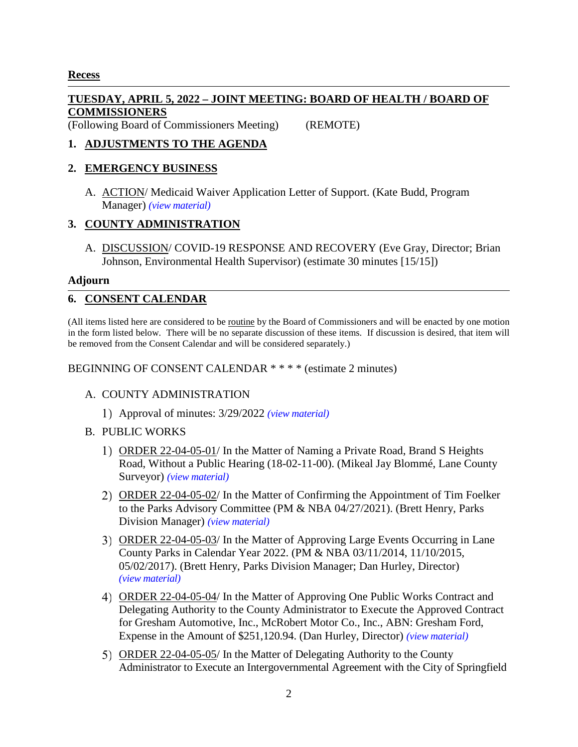## **Recess**

# **TUESDAY, APRIL 5, 2022 – JOINT MEETING: BOARD OF HEALTH / BOARD OF COMMISSIONERS**

(Following Board of Commissioners Meeting) (REMOTE)

# **1. ADJUSTMENTS TO THE AGENDA**

#### **2. EMERGENCY BUSINESS**

A. ACTION/ Medicaid Waiver Application Letter of Support. (Kate Budd, Program Manager) *(view [material\)](http://www.lanecountyor.gov/UserFiles/Servers/Server_3585797/File/Government/BCC/2022/2022_AGENDAS/040522agenda/T.2.A.pdf)*

## **3. COUNTY ADMINISTRATION**

A. DISCUSSION/ COVID-19 RESPONSE AND RECOVERY (Eve Gray, Director; Brian Johnson, Environmental Health Supervisor) (estimate 30 minutes [15/15])

#### **Adjourn**

## **6. CONSENT CALENDAR**

(All items listed here are considered to be routine by the Board of Commissioners and will be enacted by one motion in the form listed below. There will be no separate discussion of these items. If discussion is desired, that item will be removed from the Consent Calendar and will be considered separately.)

BEGINNING OF CONSENT CALENDAR \* \* \* \* (estimate 2 minutes)

## A. COUNTY ADMINISTRATION

Approval of minutes: 3/29/2022 *(view [material\)](http://www.lanecountyor.gov/UserFiles/Servers/Server_3585797/File/Government/BCC/2022/2022_AGENDAS/040522agenda/T.6.A.1.pdf)*

#### B. PUBLIC WORKS

- ORDER 22-04-05-01/ In the Matter of Naming a Private Road, Brand S Heights Road, Without a Public Hearing (18-02-11-00). (Mikeal Jay Blommé, Lane County Surveyor) *(view [material\)](http://www.lanecountyor.gov/UserFiles/Servers/Server_3585797/File/Government/BCC/2022/2022_AGENDAS/040522agenda/T.6.B.1.pdf)*
- ORDER 22-04-05-02/ In the Matter of Confirming the Appointment of Tim Foelker to the Parks Advisory Committee (PM & NBA 04/27/2021). (Brett Henry, Parks Division Manager) *(view [material\)](http://www.lanecountyor.gov/UserFiles/Servers/Server_3585797/File/Government/BCC/2022/2022_AGENDAS/040522agenda/T.6.B.2.pdf)*
- ORDER 22-04-05-03/ In the Matter of Approving Large Events Occurring in Lane County Parks in Calendar Year 2022. (PM & NBA 03/11/2014, 11/10/2015, 05/02/2017). (Brett Henry, Parks Division Manager; Dan Hurley, Director) *(view [material\)](http://www.lanecountyor.gov/UserFiles/Servers/Server_3585797/File/Government/BCC/2022/2022_AGENDAS/040522agenda/T.6.B.3.pdf)*
- ORDER 22-04-05-04/ In the Matter of Approving One Public Works Contract and Delegating Authority to the County Administrator to Execute the Approved Contract for Gresham Automotive, Inc., McRobert Motor Co., Inc., ABN: Gresham Ford, Expense in the Amount of \$251,120.94. (Dan Hurley, Director) *(view [material\)](http://www.lanecountyor.gov/UserFiles/Servers/Server_3585797/File/Government/BCC/2022/2022_AGENDAS/040522agenda/T.6.B.4.pdf)*
- ORDER 22-04-05-05/ In the Matter of Delegating Authority to the County Administrator to Execute an Intergovernmental Agreement with the City of Springfield